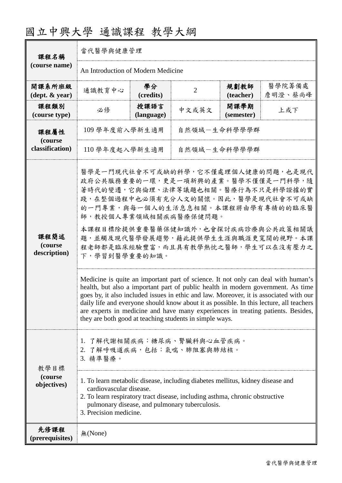| 國立中興大學 通識課程 教學大綱 |  |  |
|------------------|--|--|
|------------------|--|--|

| 課程名稱                                       | 當代醫學與健康管理                                                                                                                                                                                                                                                                                                                                                                                                                                                                                                                                                                                                                                                                                                                                                                                                                                                          |                    |                |                    |                   |
|--------------------------------------------|--------------------------------------------------------------------------------------------------------------------------------------------------------------------------------------------------------------------------------------------------------------------------------------------------------------------------------------------------------------------------------------------------------------------------------------------------------------------------------------------------------------------------------------------------------------------------------------------------------------------------------------------------------------------------------------------------------------------------------------------------------------------------------------------------------------------------------------------------------------------|--------------------|----------------|--------------------|-------------------|
| (course name)                              | An Introduction of Modern Medicine                                                                                                                                                                                                                                                                                                                                                                                                                                                                                                                                                                                                                                                                                                                                                                                                                                 |                    |                |                    |                   |
| 開課系所班級<br>$(\text{dept.} \& \text{ year})$ | 通識教育中心                                                                                                                                                                                                                                                                                                                                                                                                                                                                                                                                                                                                                                                                                                                                                                                                                                                             | 學分<br>(credits)    | $\overline{2}$ | 規劃教師<br>(teacher)  | 醫學院籌備處<br>詹明澄、蔡尚峰 |
| 課程類別<br>(course type)                      | 必修                                                                                                                                                                                                                                                                                                                                                                                                                                                                                                                                                                                                                                                                                                                                                                                                                                                                 | 授課語言<br>(language) | 中文或英文          | 開課學期<br>(semester) | 上或下               |
| 課程屬性<br>(course<br>classification)         | 109 學年度前入學新生適用<br>自然領域-生命科學學學群                                                                                                                                                                                                                                                                                                                                                                                                                                                                                                                                                                                                                                                                                                                                                                                                                                     |                    |                |                    |                   |
|                                            | 110 學年度起入學新生適用                                                                                                                                                                                                                                                                                                                                                                                                                                                                                                                                                                                                                                                                                                                                                                                                                                                     |                    | 自然領域-生命科學學學群   |                    |                   |
| 課程簡述<br>(course<br>description)            | 醫學是一門現代社會不可或缺的科學,它不僅處理個人健康的問題,也是現代<br>政府公共服務重要的一環,更是一項新興的產業。醫學不僅僅是一門科學,隨<br>著時代的變遷,它與倫理、法律等議題也相關。醫療行為不只是科學證據的實<br>踐,在整個過程中也必須有充分人文的關懷。因此,醫學是現代社會不可或缺<br>的一門專業,與每一個人的生活息息相關。本課程將由學有專精的的臨床醫<br>師,教授個人專業領域相關疾病醫療保健問題。<br>本課程目標除提供重要醫藥保健知識外,也會探討疾病診療與公共政策相關議<br>題,並觸及現代醫學發展趨勢,藉此提供學生生涯與職涯更寬闊的視野。本課<br>程老師都是臨床經驗豐富,而且具有教學熱忱之醫師,學生可以在沒有壓力之<br>下,學習到醫學重要的知識。<br>Medicine is quite an important part of science. It not only can deal with human's<br>health, but also a important part of public health in modern government. As time<br>goes by, it also included issues in ethic and law. Moreover, it is associated with our<br>daily life and everyone should know about it as possible. In this lecture, all teachers<br>are experts in medicine and have many experiences in treating patients. Besides,<br>they are both good at teaching students in simple ways. |                    |                |                    |                   |
| 教學目標<br>(course)<br>objectives)            | 1. 了解代謝相關疾病:糖尿病、腎臟科與心血管疾病。<br>2. 了解呼吸道疾病,包括:氣喘、肺阻塞與肺結核。<br>3. 精準醫療。<br>1. To learn metabolic disease, including diabetes mellitus, kidney disease and<br>cardiovascular disease.<br>2. To learn respiratory tract disease, including asthma, chronic obstructive<br>pulmonary disease, and pulmonary tuberculosis.                                                                                                                                                                                                                                                                                                                                                                                                                                                                                                                                                 |                    |                |                    |                   |
| 先修課程<br>(prerequisites)                    | 3. Precision medicine.<br>無(None)                                                                                                                                                                                                                                                                                                                                                                                                                                                                                                                                                                                                                                                                                                                                                                                                                                  |                    |                |                    |                   |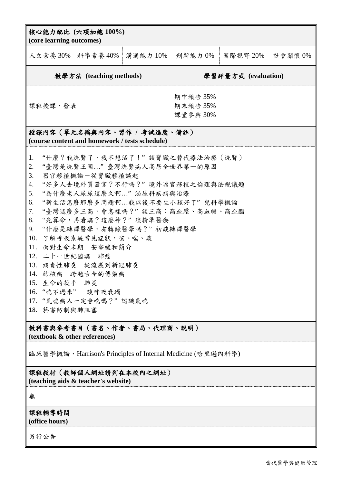| 核心能力配比 (六項加總 100%)<br>(core learning outcomes)                                                                                                                                                                                                                                                                                                                                                                                                                                                                 |  |                                 |                     |         |
|----------------------------------------------------------------------------------------------------------------------------------------------------------------------------------------------------------------------------------------------------------------------------------------------------------------------------------------------------------------------------------------------------------------------------------------------------------------------------------------------------------------|--|---------------------------------|---------------------|---------|
| 人文素養 30%   科學素養 40%   溝通能力 10%   創新能力 0%   國際視野 20%                                                                                                                                                                                                                                                                                                                                                                                                                                                            |  |                                 |                     | 社會關懷 0% |
| 教學方法 (teaching methods)                                                                                                                                                                                                                                                                                                                                                                                                                                                                                        |  |                                 | 學習評量方式 (evaluation) |         |
| 課程授課、發表                                                                                                                                                                                                                                                                                                                                                                                                                                                                                                        |  | 期中報告 35%<br>期末報告 35%<br>課堂參與30% |                     |         |
| 授課內容(單元名稱與內容、習作 / 考試進度、備註)<br>(course content and homework / tests schedule)                                                                                                                                                                                                                                                                                                                                                                                                                                   |  |                                 |                     |         |
| "什麼?我洗腎了,我不想活了!"談腎臟之替代療法治療(洗腎)<br>1.<br>"臺灣是洗腎王國"臺灣洗腎病人高居全世界第一的原因<br>2.<br>3.<br>器官移植概論一從腎臟移植談起<br>"好多人去境外買器官?不行嗎?"境外器官移植之倫理與法規議題<br>4.<br>5.<br>"為什麼老人尿尿這麼久啊"泌尿科疾病與治療<br>"新生活怎麼那麼多問題啊我以後不要生小孩好了"兒科學概論<br>6.<br>7.<br>"臺灣這麼多三高,會怎樣嗎?"談三高:高血壓、高血糖、高血酯<br>"先算命,再看病?這麼神?"談精準醫療<br>8.<br>9.<br>"什麼是轉譯醫學,有轉錄醫學嗎?" 初談轉譯醫學<br>了解呼吸系統常見症狀,咳、喘、痰<br>10.<br>11.<br>面對生命末期一安寧緩和簡介<br>12. 二十一世紀國病一肺癌<br>13. 病毒性肺炎一從流感到新冠肺炎<br>14. 結核病一跨越古今的傳染病<br>15. 生命的殺手一肺炎<br>16. "喘不過來"一談呼吸衰竭<br>17. "氣喘病人一定會喘嗎?"認識氣喘<br>18. 菸害防制與肺阻塞 |  |                                 |                     |         |
| 教科書與參考書目(書名、作者、書局、代理商、説明)<br>(textbook & other references)                                                                                                                                                                                                                                                                                                                                                                                                                                                     |  |                                 |                     |         |
| 臨床醫學概論、Harrison's Principles of Internal Medicine (哈里遜內科學)                                                                                                                                                                                                                                                                                                                                                                                                                                                     |  |                                 |                     |         |
| 課程教材(教師個人網址請列在本校內之網址)<br>(teaching aids & teacher's website)                                                                                                                                                                                                                                                                                                                                                                                                                                                   |  |                                 |                     |         |
| 無                                                                                                                                                                                                                                                                                                                                                                                                                                                                                                              |  |                                 |                     |         |
| 課程輔導時間<br>(office hours)                                                                                                                                                                                                                                                                                                                                                                                                                                                                                       |  |                                 |                     |         |
| 另行公告                                                                                                                                                                                                                                                                                                                                                                                                                                                                                                           |  |                                 |                     |         |